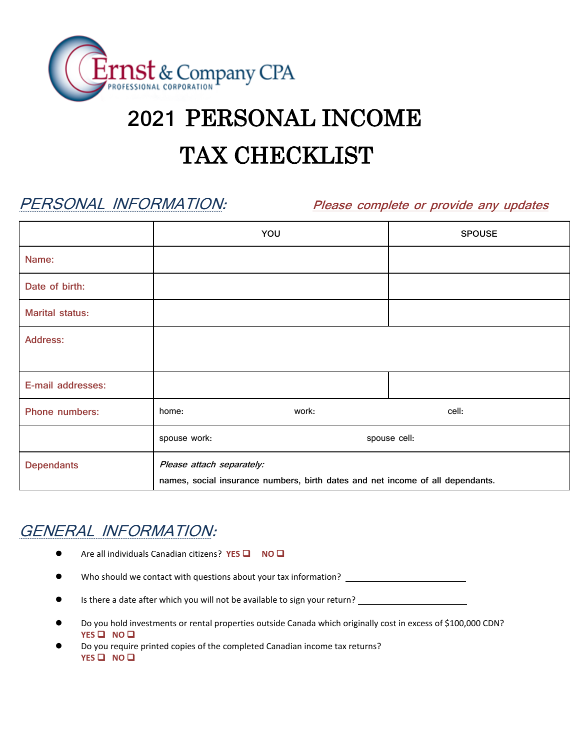

# **2021** PERSONAL INCOME

## TAX CHECKLIST

PERSONAL INFORMATION: **Please complete or provide any updates**

|                        |                                                                                                             | YOU   | <b>SPOUSE</b> |
|------------------------|-------------------------------------------------------------------------------------------------------------|-------|---------------|
| Name:                  |                                                                                                             |       |               |
| Date of birth:         |                                                                                                             |       |               |
| <b>Marital status:</b> |                                                                                                             |       |               |
| <b>Address:</b>        |                                                                                                             |       |               |
| E-mail addresses:      |                                                                                                             |       |               |
| Phone numbers:         | home:                                                                                                       | work: | cell:         |
|                        | spouse work:<br>spouse cell:                                                                                |       |               |
| <b>Dependants</b>      | Please attach separately:<br>names, social insurance numbers, birth dates and net income of all dependants. |       |               |

### GENERAL INFORMATION:

- ⚫ Are all individuals Canadian citizens? **YES** ❑ **NO** ❑
- Who should we contact with questions about your tax information? \_\_\_\_\_\_\_\_\_\_\_\_\_\_\_
- Is there a date after which you will not be available to sign your return?
- ⚫ Do you hold investments or rental properties outside Canada which originally cost in excess of \$100,000 CDN? **YES** ❑ **NO** ❑
- ⚫ Do you require printed copies of the completed Canadian income tax returns? **YES** ❑ **NO** ❑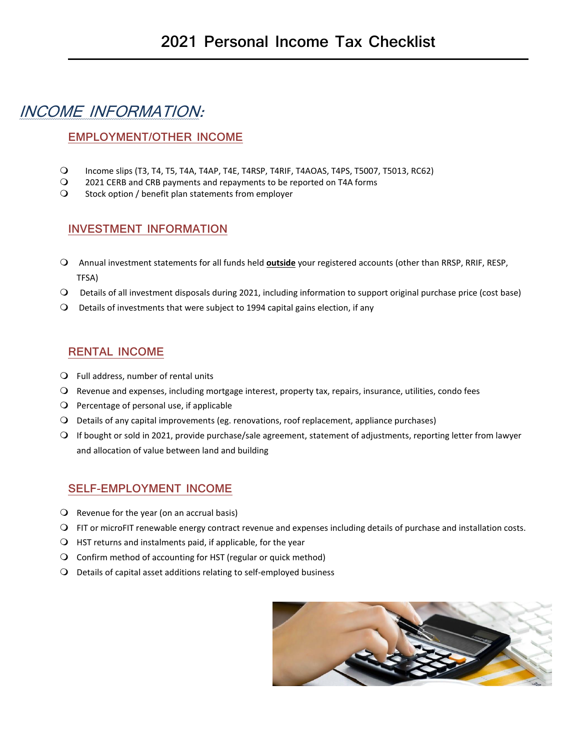### INCOME INFORMATION:

#### **EMPLOYMENT/OTHER INCOME**

- Income slips (T3, T4, T5, T4A, T4AP, T4E, T4RSP, T4RIF, T4AOAS, T4PS, T5007, T5013, RC62)
- 2021 CERB and CRB payments and repayments to be reported on T4A forms<br>2 Stock option / benefit plan statements from employer
- Stock option / benefit plan statements from employer

#### **INVESTMENT INFORMATION**

- Annual investment statements for all funds held **outside** your registered accounts (other than RRSP, RRIF, RESP, TFSA)
- Details of all investment disposals during 2021, including information to support original purchase price (cost base)
- Details of investments that were subject to 1994 capital gains election, if any

#### **RENTAL INCOME**

- $Q$  Full address, number of rental units
- Revenue and expenses, including mortgage interest, property tax, repairs, insurance, utilities, condo fees
- $\Omega$  Percentage of personal use, if applicable
- Details of any capital improvements (eg. renovations, roof replacement, appliance purchases)
- If bought or sold in 2021, provide purchase/sale agreement, statement of adjustments, reporting letter from lawyer and allocation of value between land and building

#### **SELF-EMPLOYMENT INCOME**

- $\Omega$  Revenue for the year (on an accrual basis)
- FIT or microFIT renewable energy contract revenue and expenses including details of purchase and installation costs.
- $\bigcirc$  HST returns and instalments paid, if applicable, for the year
- Confirm method of accounting for HST (regular or quick method)
- Details of capital asset additions relating to self-employed business

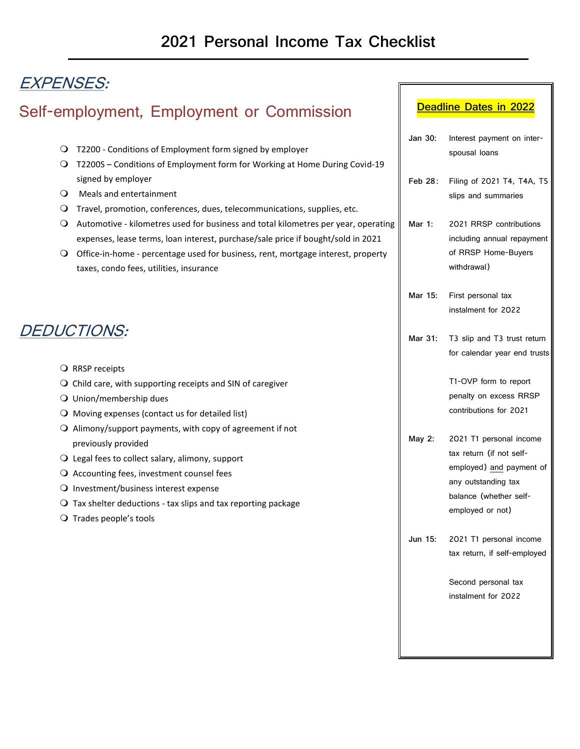### EXPENSES:

### Self-employment, Employment or Commission

- T2200 Conditions of Employment form signed by employer
- T2200S Conditions of Employment form for Working at Home During Covid-19 signed by employer
- Meals and entertainment
- Travel, promotion, conferences, dues, telecommunications, supplies, etc.
- Automotive kilometres used for business and total kilometres per year, operating expenses, lease terms, loan interest, purchase/sale price if bought/sold in 2021
- O Office-in-home percentage used for business, rent, mortgage interest, property taxes, condo fees, utilities, insurance

### DEDUCTIONS:

- O RRSP receipts
- $\Omega$  Child care, with supporting receipts and SIN of caregiver
- Union/membership dues
- $\bigcirc$  Moving expenses (contact us for detailed list)
- $\Omega$  Alimony/support payments, with copy of agreement if not previously provided
- $\bigcirc$  Legal fees to collect salary, alimony, support
- O Accounting fees, investment counsel fees
- O Investment/business interest expense
- $\Omega$  Tax shelter deductions tax slips and tax reporting package
- $\bigcirc$  Trades people's tools

#### **Deadline Dates in 2022**

| Jan 30: | Interest payment on inter-<br>spousal loans       |
|---------|---------------------------------------------------|
| Feb 28: | Filing of 2021 T4, T4A, T5<br>slips and summaries |

**Mar 1:** 2021 RRSP contributions including annual repayment of RRSP Home-Buyers withdrawal)

- **Mar 15:** First personal tax instalment for 2022
- **Mar 31:** T3 slip and T3 trust return for calendar year end trusts

T1-OVP form to report penalty on excess RRSP contributions for 2021

- **May 2:** 2021 T1 personal income tax return (if not selfemployed) and payment of any outstanding tax balance (whether selfemployed or not)
- **Jun 15:** 2021 T1 personal income tax return, if self-employed

Second personal tax instalment for 2022